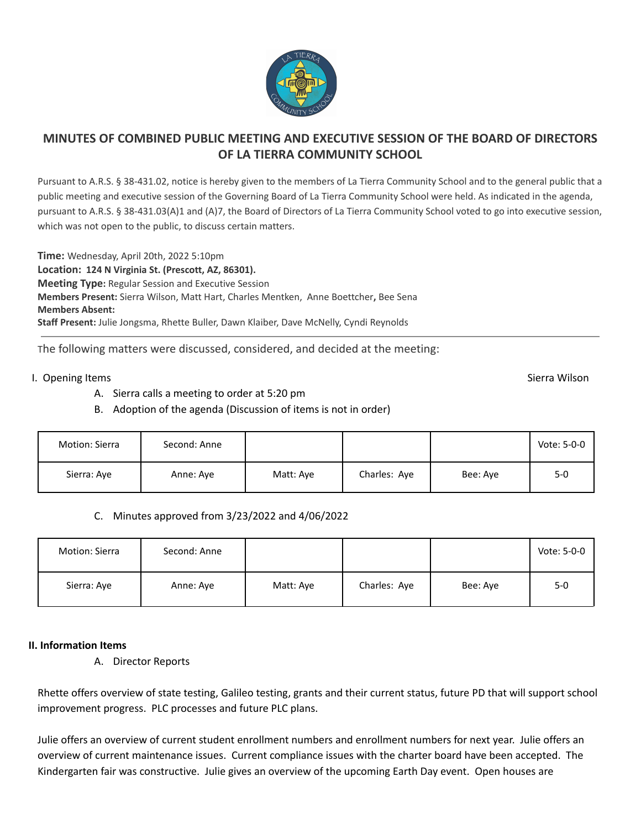

# **MINUTES OF COMBINED PUBLIC MEETING AND EXECUTIVE SESSION OF THE BOARD OF DIRECTORS OF LA TIERRA COMMUNITY SCHOOL**

Pursuant to A.R.S. § 38-431.02, notice is hereby given to the members of La Tierra Community School and to the general public that a public meeting and executive session of the Governing Board of La Tierra Community School were held. As indicated in the agenda, pursuant to A.R.S. § 38-431.03(A)1 and (A)7, the Board of Directors of La Tierra Community School voted to go into executive session, which was not open to the public, to discuss certain matters.

**Time:** Wednesday, April 20th, 2022 5:10pm **Location: 124 N Virginia St. (Prescott, AZ, 86301). Meeting Type:** Regular Session and Executive Session **Members Present:** Sierra Wilson, Matt Hart, Charles Mentken, Anne Boettcher**,** Bee Sena **Members Absent: Staff Present:** Julie Jongsma, Rhette Buller, Dawn Klaiber, Dave McNelly, Cyndi Reynolds

The following matters were discussed, considered, and decided at the meeting:

### I. Opening Items Sierra Wilson Sierra Wilson Sierra Wilson Sierra Wilson Sierra Wilson Sierra Wilson Sierra Wilson

- A. Sierra calls a meeting to order at 5:20 pm
- B. Adoption of the agenda (Discussion of items is not in order)

| Motion: Sierra | Second: Anne |           |              |          | Vote: 5-0-0 |
|----------------|--------------|-----------|--------------|----------|-------------|
| Sierra: Aye    | Anne: Aye    | Matt: Aye | Charles: Aye | Bee: Ave | $5-0$       |

#### C. Minutes approved from 3/23/2022 and 4/06/2022

| Motion: Sierra | Second: Anne |           |              |          | Vote: 5-0-0 |
|----------------|--------------|-----------|--------------|----------|-------------|
| Sierra: Aye    | Anne: Aye    | Matt: Aye | Charles: Aye | Bee: Aye | $5 - 0$     |

## **II. Information Items**

A. Director Reports

Rhette offers overview of state testing, Galileo testing, grants and their current status, future PD that will support school improvement progress. PLC processes and future PLC plans.

Julie offers an overview of current student enrollment numbers and enrollment numbers for next year. Julie offers an overview of current maintenance issues. Current compliance issues with the charter board have been accepted. The Kindergarten fair was constructive. Julie gives an overview of the upcoming Earth Day event. Open houses are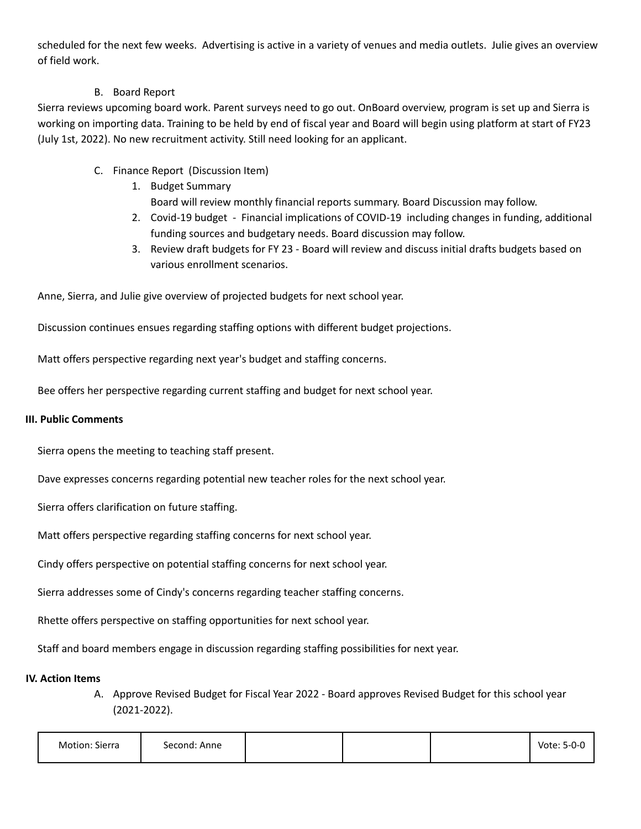scheduled for the next few weeks. Advertising is active in a variety of venues and media outlets. Julie gives an overview of field work.

## B. Board Report

Sierra reviews upcoming board work. Parent surveys need to go out. OnBoard overview, program is set up and Sierra is working on importing data. Training to be held by end of fiscal year and Board will begin using platform at start of FY23 (July 1st, 2022). No new recruitment activity. Still need looking for an applicant.

- C. Finance Report (Discussion Item)
	- 1. Budget Summary Board will review monthly financial reports summary. Board Discussion may follow.
	- 2. Covid-19 budget Financial implications of COVID-19 including changes in funding, additional funding sources and budgetary needs. Board discussion may follow.
	- 3. Review draft budgets for FY 23 Board will review and discuss initial drafts budgets based on various enrollment scenarios.

Anne, Sierra, and Julie give overview of projected budgets for next school year.

Discussion continues ensues regarding staffing options with different budget projections.

Matt offers perspective regarding next year's budget and staffing concerns.

Bee offers her perspective regarding current staffing and budget for next school year.

## **III. Public Comments**

Sierra opens the meeting to teaching staff present.

Dave expresses concerns regarding potential new teacher roles for the next school year.

Sierra offers clarification on future staffing.

Matt offers perspective regarding staffing concerns for next school year.

Cindy offers perspective on potential staffing concerns for next school year.

Sierra addresses some of Cindy's concerns regarding teacher staffing concerns.

Rhette offers perspective on staffing opportunities for next school year.

Staff and board members engage in discussion regarding staffing possibilities for next year.

#### **IV. Action Items**

A. Approve Revised Budget for Fiscal Year 2022 - Board approves Revised Budget for this school year (2021-2022).

| Motion: Sierra | Second: Anne |  | Vote: 5-0-0 |
|----------------|--------------|--|-------------|
|                |              |  |             |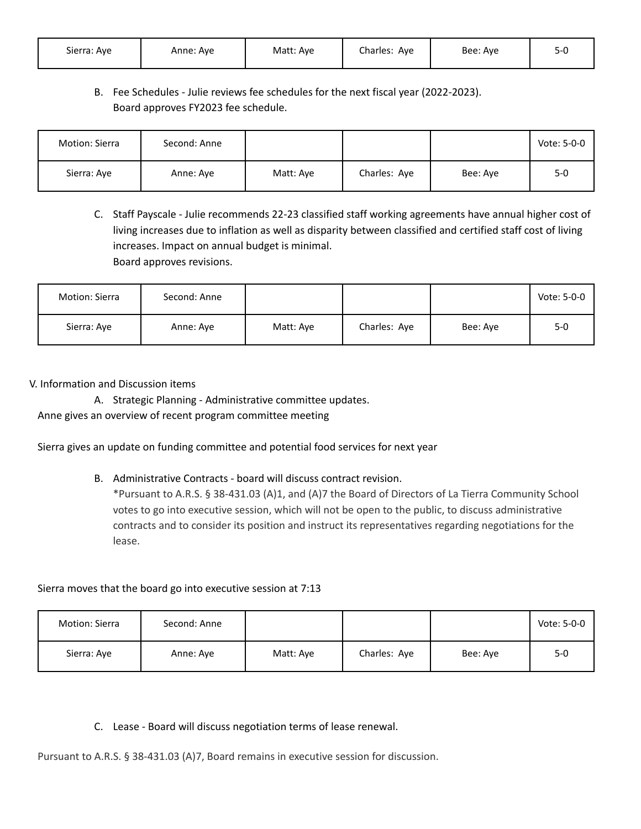| Sierra: Aye | Anne: Ave | Matt: Aye | Charles: Aye | Bee: Aye |  |
|-------------|-----------|-----------|--------------|----------|--|
|-------------|-----------|-----------|--------------|----------|--|

## B. Fee Schedules - Julie reviews fee schedules for the next fiscal year (2022-2023). Board approves FY2023 fee schedule.

| Motion: Sierra | Second: Anne |           |              |          | Vote: 5-0-0 |
|----------------|--------------|-----------|--------------|----------|-------------|
| Sierra: Aye    | Anne: Aye    | Matt: Aye | Charles: Aye | Bee: Aye | $5 - 0$     |

C. Staff Payscale - Julie recommends 22-23 classified staff working agreements have annual higher cost of living increases due to inflation as well as disparity between classified and certified staff cost of living increases. Impact on annual budget is minimal. Board approves revisions.

| Motion: Sierra | Second: Anne |           |              |          | Vote: 5-0-0 |
|----------------|--------------|-----------|--------------|----------|-------------|
| Sierra: Aye    | Anne: Aye    | Matt: Ave | Charles: Aye | Bee: Aye | $5-0$       |

### V. Information and Discussion items

A. Strategic Planning - Administrative committee updates. Anne gives an overview of recent program committee meeting

Sierra gives an update on funding committee and potential food services for next year

B. Administrative Contracts - board will discuss contract revision.

\*Pursuant to A.R.S. § 38-431.03 (A)1, and (A)7 the Board of Directors of La Tierra Community School votes to go into executive session, which will not be open to the public, to discuss administrative contracts and to consider its position and instruct its representatives regarding negotiations for the lease.

#### Sierra moves that the board go into executive session at 7:13

| Motion: Sierra | Second: Anne |           |              |          | Vote: 5-0-0 |
|----------------|--------------|-----------|--------------|----------|-------------|
| Sierra: Aye    | Anne: Aye    | Matt: Aye | Charles: Aye | Bee: Aye | $5 - 0$     |

## C. Lease - Board will discuss negotiation terms of lease renewal.

Pursuant to A.R.S. § 38-431.03 (A)7, Board remains in executive session for discussion.